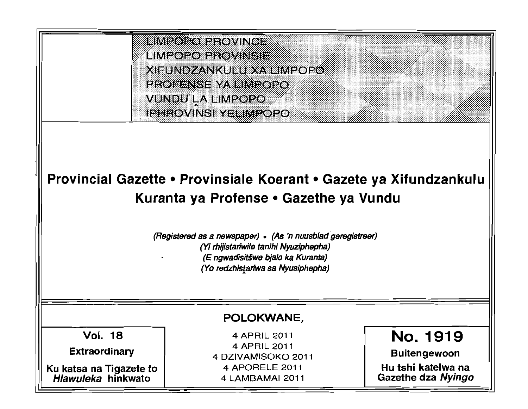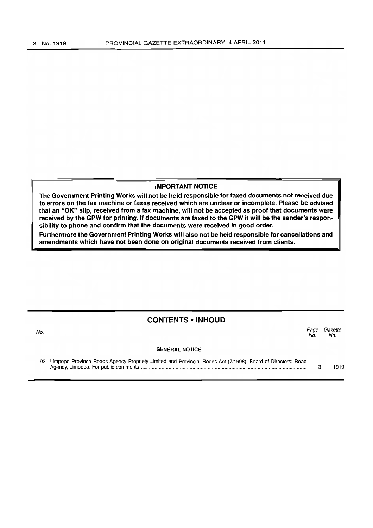#### IMPORTANT NOTICE

The Government Printing Works will not be held responsible for faxed documents not received due to errors on the fax machine or faxes received which are unclear or incomplete. Please be advised that an "OK" slip, received from a fax machine, will not be accepted as proof that documents were received by the GPW for printing. If documents are faxed to the GPW it will be the sender's responsibility to phone and confirm that the documents were received in good order.

Furthermore the Government Printing Works will also not be held responsible for cancellations and amendments which have not been done on original documents received from clients.

## CONTENTS • INHOUD

No. *Page Gazette*  No. No.

#### GENERAL NOTICE

| 93 Limpopo Province Roads Agency Propriety Limited and Provincial Roads Act (7/1998): Board of Directors: Road |      |
|----------------------------------------------------------------------------------------------------------------|------|
|                                                                                                                | 1919 |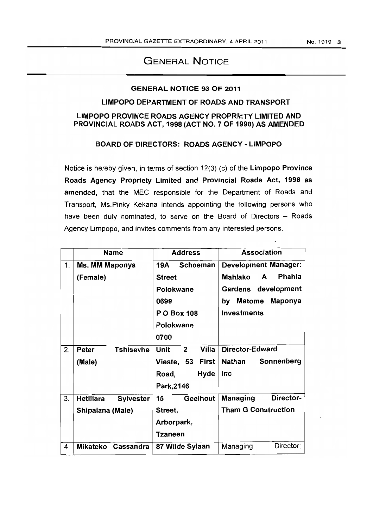# GENERAL NOTICE

#### GENERAL NOTICE 93 OF 2011

#### LIMPOPO DEPARTMENT OF ROADS AND TRANSPORT

### LIMPOPO PROVINCE ROADS AGENCY PROPRIETY LIMITED AND PROVINCIAL ROADS ACT, 1998 (ACT NO.7 OF 1998) AS AMENDED

### BOARD OF DIRECTORS: ROADS AGENCY - LIMPOPO

Notice is hereby given, in terms of section 12(3) (c) of the Limpopo Province Roads Agency Propriety Limited and Provincial Roads Act, 1998 as amended, that the MEC responsible for the Department of Roads and Transport, Ms.Pinky Kekana intends appointing the following persons who have been duly nominated, to serve on the Board of Directors  $-$  Roads Agency Limpopo, and invites comments from any interested persons.

|    | <b>Name</b>                          | <b>Address</b>                       | <b>Association</b>             |
|----|--------------------------------------|--------------------------------------|--------------------------------|
| 1. | Ms. MM Maponya                       | <b>Schoeman</b><br>19A               | <b>Development Manager:</b>    |
|    | (Female)                             | <b>Street</b>                        | Phahla<br>Mahlako<br>A         |
|    |                                      | Polokwane                            | Gardens development            |
|    |                                      | 0699                                 | <b>Maponya</b><br>Matome<br>by |
|    |                                      | <b>PO Box 108</b>                    | <b>Investments</b>             |
|    |                                      | Polokwane                            |                                |
|    |                                      | 0700                                 |                                |
| 2. | <b>Tshisevhe</b><br><b>Peter</b>     | Villa<br><b>Unit</b><br>$\mathbf{2}$ | Director-Edward                |
|    | (Male)                               | Vieste, 53<br>First                  | Nathan<br>Sonnenberg           |
|    |                                      | Road,<br>Hyde                        | Inc                            |
|    |                                      | Park, 2146                           |                                |
| 3. | <b>Hetlilara</b><br><b>Sylvester</b> | Geelhout<br>15                       | Director-<br><b>Managing</b>   |
|    | Shipalana (Male)                     | Street,                              | <b>Tham G Construction</b>     |
|    |                                      | Arborpark,                           |                                |
|    |                                      | <b>Tzaneen</b>                       |                                |
| 4  | Mikateko Cassandra                   | 87 Wilde Sylaan                      | Director:<br>Managing          |